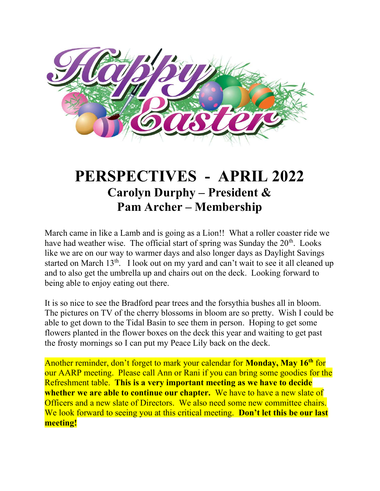

# PERSPECTIVES - APRIL 2022 Carolyn Durphy – President & Pam Archer – Membership

March came in like a Lamb and is going as a Lion!! What a roller coaster ride we have had weather wise. The official start of spring was Sunday the  $20<sup>th</sup>$ . Looks like we are on our way to warmer days and also longer days as Daylight Savings started on March 13<sup>th</sup>. I look out on my yard and can't wait to see it all cleaned up and to also get the umbrella up and chairs out on the deck. Looking forward to being able to enjoy eating out there.

It is so nice to see the Bradford pear trees and the forsythia bushes all in bloom. The pictures on TV of the cherry blossoms in bloom are so pretty. Wish I could be able to get down to the Tidal Basin to see them in person. Hoping to get some flowers planted in the flower boxes on the deck this year and waiting to get past the frosty mornings so I can put my Peace Lily back on the deck.

Another reminder, don't forget to mark your calendar for **Monday**, May 16<sup>th</sup> for our AARP meeting. Please call Ann or Rani if you can bring some goodies for the Refreshment table. This is a very important meeting as we have to decide whether we are able to continue our chapter. We have to have a new slate of Officers and a new slate of Directors. We also need some new committee chairs. We look forward to seeing you at this critical meeting. Don't let this be our last meeting!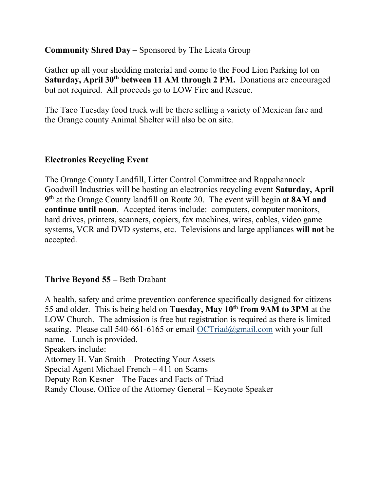Community Shred Day – Sponsored by The Licata Group

Gather up all your shedding material and come to the Food Lion Parking lot on Saturday, April 30<sup>th</sup> between 11 AM through 2 PM. Donations are encouraged but not required. All proceeds go to LOW Fire and Rescue.

The Taco Tuesday food truck will be there selling a variety of Mexican fare and the Orange county Animal Shelter will also be on site.

### Electronics Recycling Event

The Orange County Landfill, Litter Control Committee and Rappahannock Goodwill Industries will be hosting an electronics recycling event Saturday, April 9<sup>th</sup> at the Orange County landfill on Route 20. The event will begin at 8AM and continue until noon. Accepted items include: computers, computer monitors, hard drives, printers, scanners, copiers, fax machines, wires, cables, video game systems, VCR and DVD systems, etc. Televisions and large appliances will not be accepted.

#### Thrive Beyond 55 – Beth Drabant

A health, safety and crime prevention conference specifically designed for citizens 55 and older. This is being held on Tuesday, May 10<sup>th</sup> from 9AM to 3PM at the LOW Church. The admission is free but registration is required as there is limited seating. Please call 540-661-6165 or email OCTriad@gmail.com with your full name. Lunch is provided. Speakers include: Attorney H. Van Smith – Protecting Your Assets Special Agent Michael French – 411 on Scams Deputy Ron Kesner – The Faces and Facts of Triad Randy Clouse, Office of the Attorney General – Keynote Speaker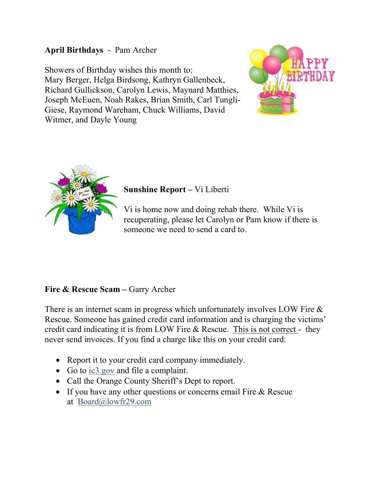#### April Birthdays - Pam Archer

Showers of Birthday wishes this month to: Mary Berger, Helga Birdsong, Kathryn Gallenbeck, Richard Gullickson, Carolyn Lewis, Maynard Matthies, Joseph McEuen, Noah Rakes, Brian Smith, Carl Tungli-Giese, Raymond Wareham, Chuck Williams, David Witmer, and Dayle Young





### Sunshine Report – Vi Liberti

Vi is home now and doing rehab there. While Vi is recuperating, please let Carolyn or Pam know if there is someone we need to send a card to.

## Fire & Rescue Scam – Garry Archer

There is an internet scam in progress which unfortunately involves LOW Fire & Rescue. Someone has gained credit card information and is charging the victims' credit card indicating it is from LOW Fire & Rescue. This is not correct - they never send invoices. If you find a charge like this on your credit card:

- Report it to your credit card company immediately.
- Go to ic3.gov and file a complaint.
- Call the Orange County Sheriff's Dept to report.
- If you have any other questions or concerns email Fire & Rescue at Board@lowfr29.com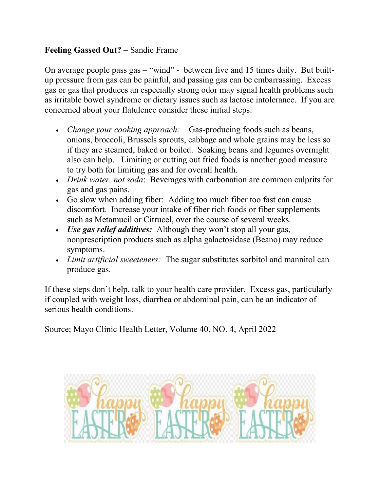### Feeling Gassed Out? – Sandie Frame

On average people pass gas – "wind" - between five and 15 times daily. But builtup pressure from gas can be painful, and passing gas can be embarrassing. Excess gas or gas that produces an especially strong odor may signal health problems such as irritable bowel syndrome or dietary issues such as lactose intolerance. If you are concerned about your flatulence consider these initial steps.

- Change your cooking approach: Gas-producing foods such as beans, onions, broccoli, Brussels sprouts, cabbage and whole grains may be less so if they are steamed, baked or boiled. Soaking beans and legumes overnight also can help. Limiting or cutting out fried foods is another good measure to try both for limiting gas and for overall health.
- *Drink water, not soda*: Beverages with carbonation are common culprits for gas and gas pains.
- Go slow when adding fiber: Adding too much fiber too fast can cause discomfort. Increase your intake of fiber rich foods or fiber supplements such as Metamucil or Citrucel, over the course of several weeks.
- Use gas relief additives: Although they won't stop all your gas, nonprescription products such as alpha galactosidase (Beano) may reduce symptoms.
- *Limit artificial sweeteners:* The sugar substitutes sorbitol and mannitol can produce gas.

If these steps don't help, talk to your health care provider. Excess gas, particularly if coupled with weight loss, diarrhea or abdominal pain, can be an indicator of serious health conditions.

Source; Mayo Clinic Health Letter, Volume 40, NO. 4, April 2022